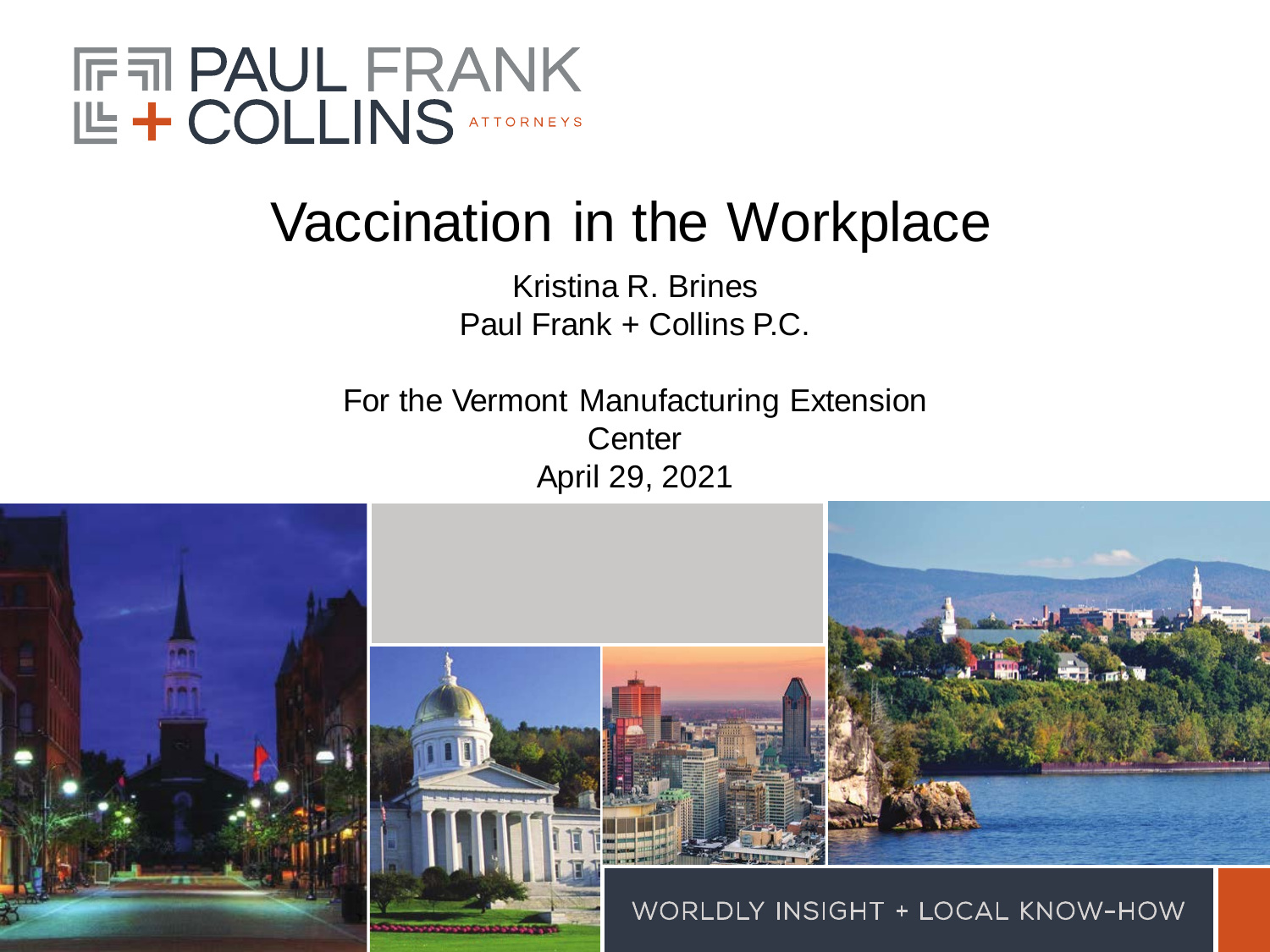

## Vaccination in the Workplace

Kristina R. Brines Paul Frank + Collins P.C.

For the Vermont Manufacturing Extension **Center** April 29, 2021

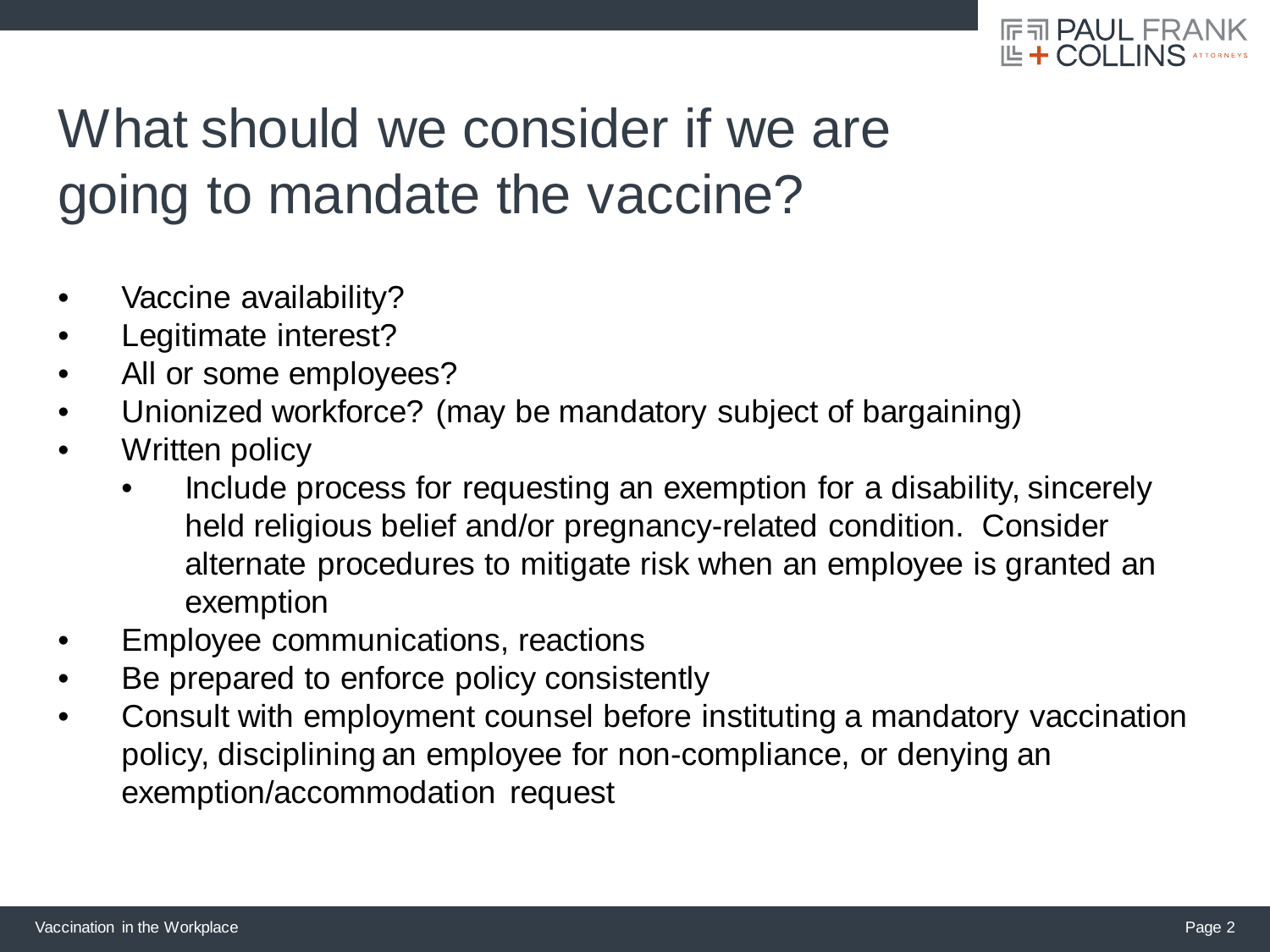

# What should we consider if we are going to mandate the vaccine?

- Vaccine availability?
- Legitimate interest?
- All or some employees?
- Unionized workforce? (may be mandatory subject of bargaining)
- Written policy
	- Include process for requesting an exemption for a disability, sincerely held religious belief and/or pregnancy-related condition. Consider alternate procedures to mitigate risk when an employee is granted an exemption
- Employee communications, reactions
- Be prepared to enforce policy consistently
- Consult with employment counsel before instituting a mandatory vaccination policy, disciplining an employee for non-compliance, or denying an exemption/accommodation request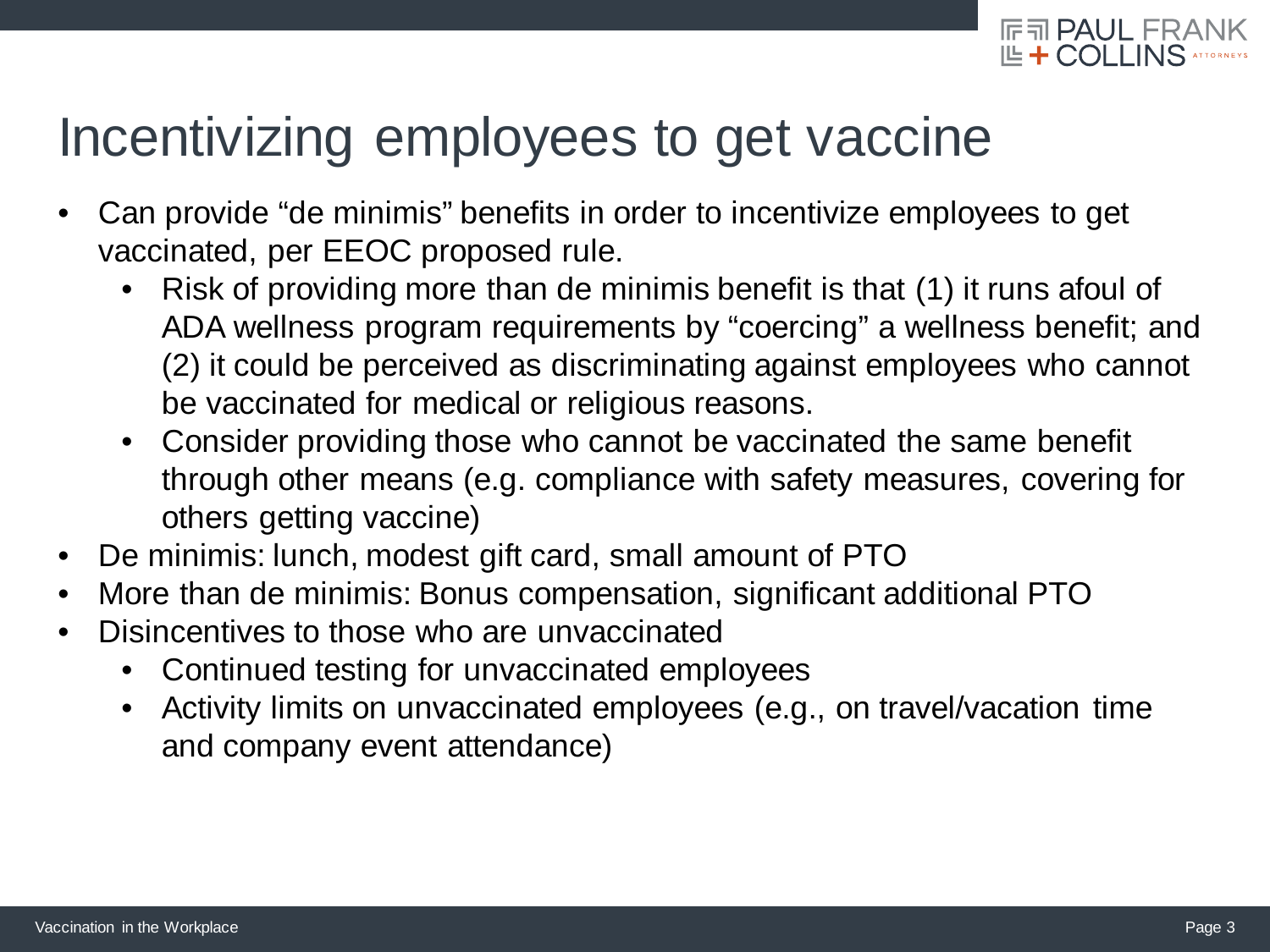

#### Incentivizing employees to get vaccine

- Can provide "de minimis" benefits in order to incentivize employees to get vaccinated, per EEOC proposed rule.
	- Risk of providing more than de minimis benefit is that (1) it runs afoul of ADA wellness program requirements by "coercing" a wellness benefit; and (2) it could be perceived as discriminating against employees who cannot be vaccinated for medical or religious reasons.
	- Consider providing those who cannot be vaccinated the same benefit through other means (e.g. compliance with safety measures, covering for others getting vaccine)
- De minimis: lunch, modest gift card, small amount of PTO
- More than de minimis: Bonus compensation, significant additional PTO
- Disincentives to those who are unvaccinated
	- Continued testing for unvaccinated employees
	- Activity limits on unvaccinated employees (e.g., on travel/vacation time and company event attendance)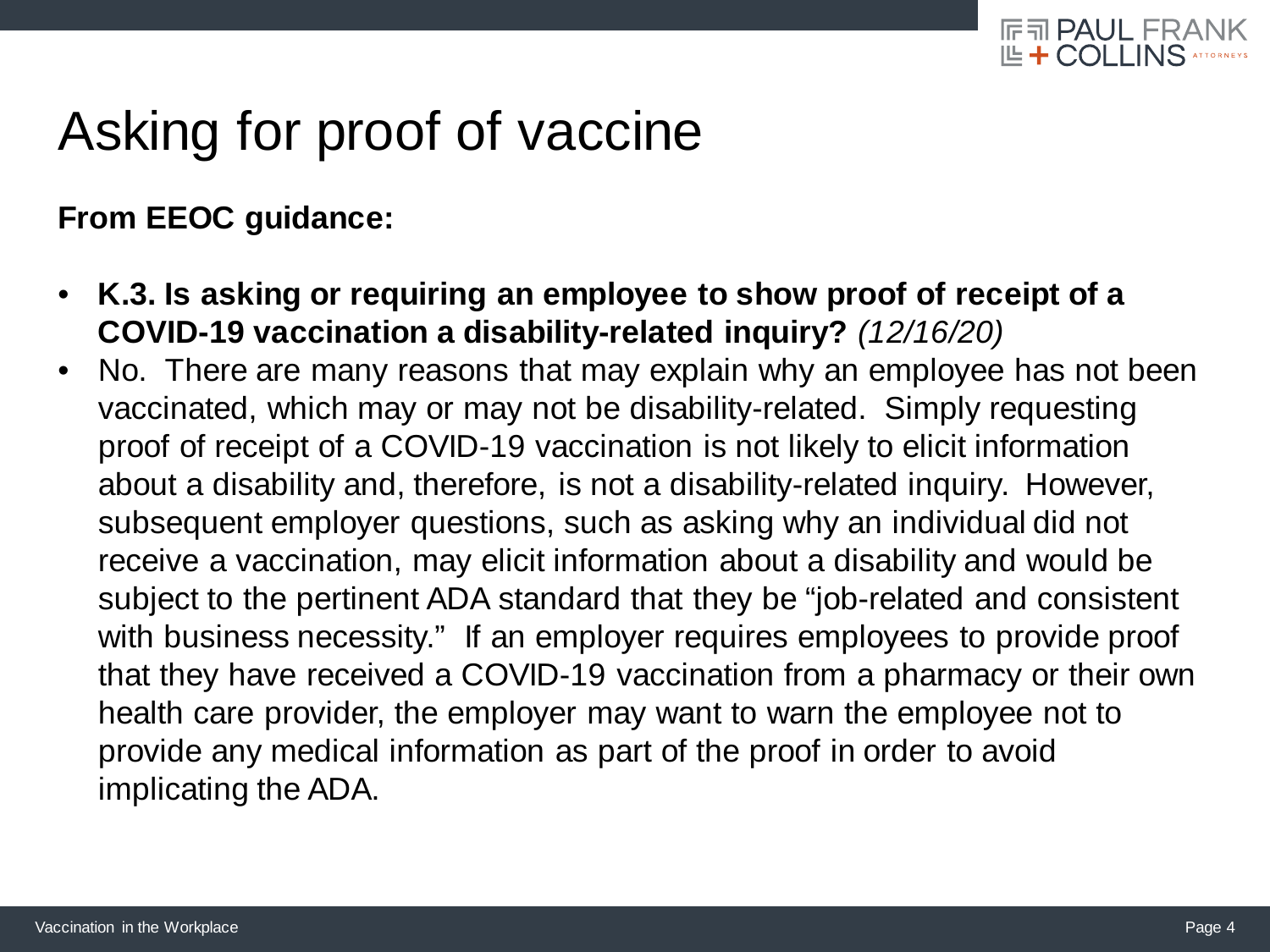

## Asking for proof of vaccine

**From EEOC guidance:**

- **K.3. Is asking or requiring an employee to show proof of receipt of a COVID-19 vaccination a disability-related inquiry?** *(12/16/20)*
- No. There are many reasons that may explain why an employee has not been vaccinated, which may or may not be disability-related. Simply requesting proof of receipt of a COVID-19 vaccination is not likely to elicit information about a disability and, therefore, is not a disability-related inquiry. However, subsequent employer questions, such as asking why an individual did not receive a vaccination, may elicit information about a disability and would be subject to the pertinent ADA standard that they be "job-related and consistent with business necessity." If an employer requires employees to provide proof that they have received a COVID-19 vaccination from a pharmacy or their own health care provider, the employer may want to warn the employee not to provide any medical information as part of the proof in order to avoid implicating the ADA.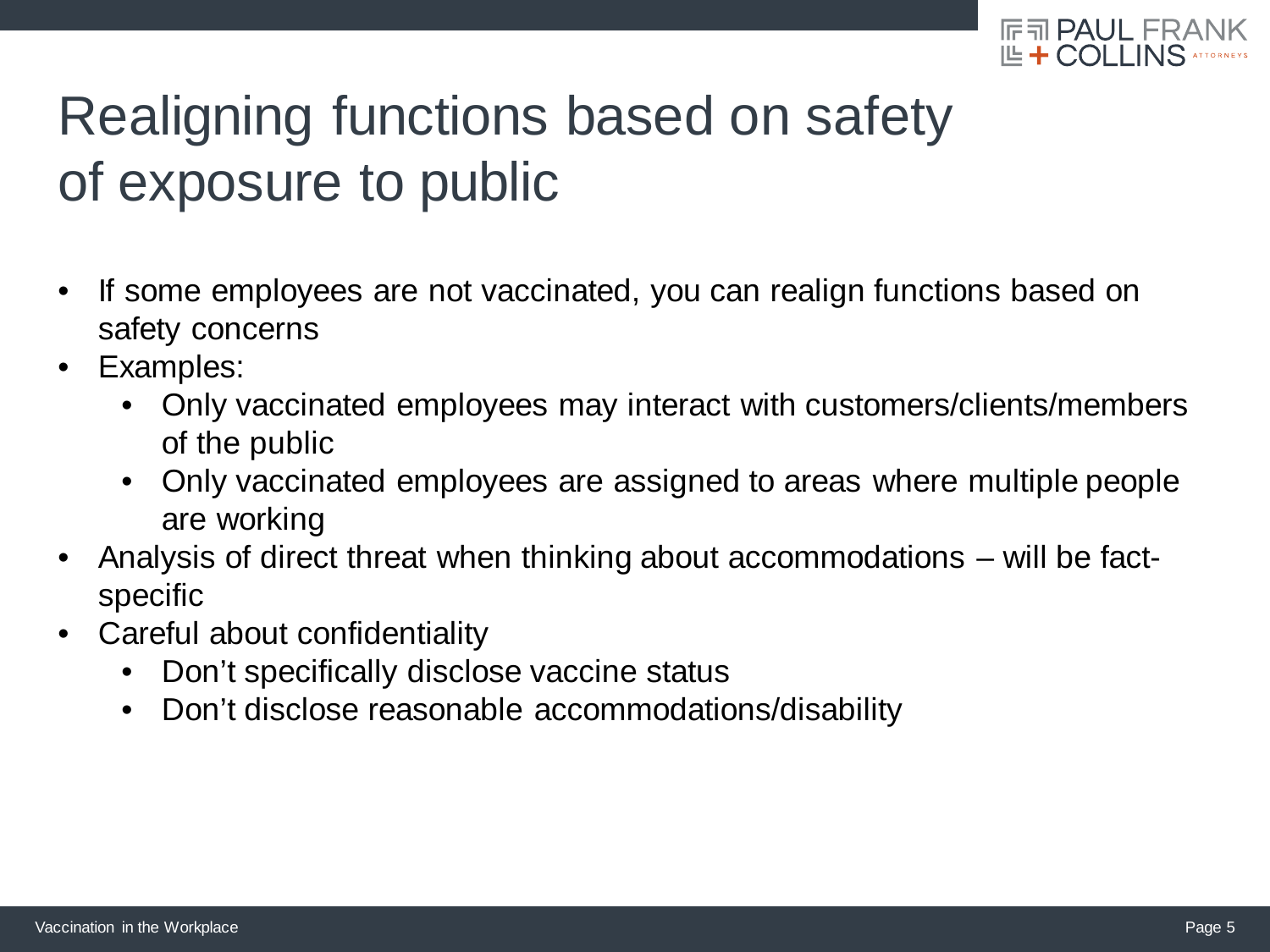

# Realigning functions based on safety of exposure to public

- If some employees are not vaccinated, you can realign functions based on safety concerns
- Examples:
	- Only vaccinated employees may interact with customers/clients/members of the public
	- Only vaccinated employees are assigned to areas where multiple people are working
- Analysis of direct threat when thinking about accommodations will be factspecific
- Careful about confidentiality
	- Don't specifically disclose vaccine status
	- Don't disclose reasonable accommodations/disability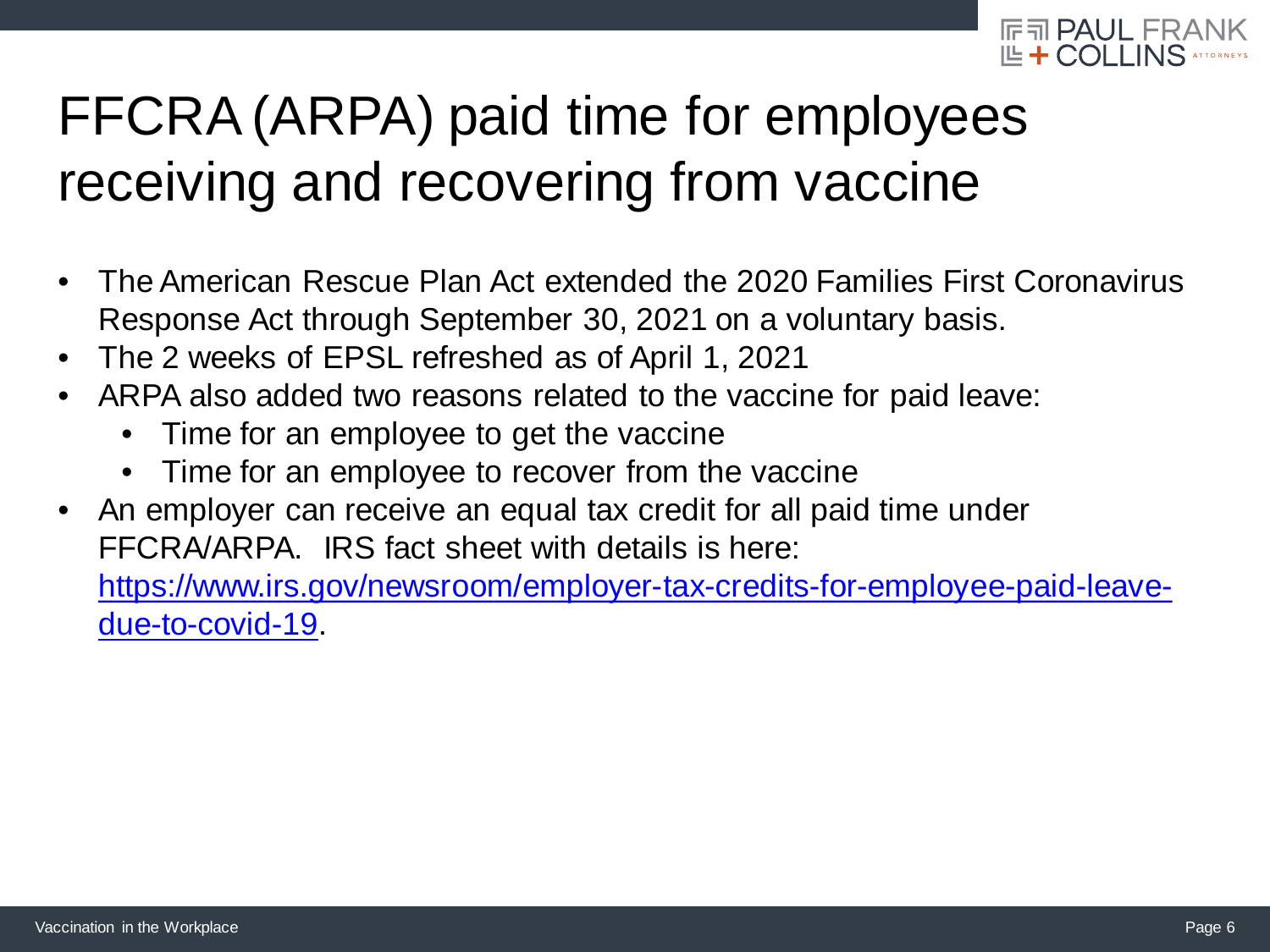

# FFCRA (ARPA) paid time for employees receiving and recovering from vaccine

- The American Rescue Plan Act extended the 2020 Families First Coronavirus Response Act through September 30, 2021 on a voluntary basis.
- The 2 weeks of EPSL refreshed as of April 1, 2021
- ARPA also added two reasons related to the vaccine for paid leave:
	- Time for an employee to get the vaccine
	- Time for an employee to recover from the vaccine
- An employer can receive an equal tax credit for all paid time under FFCRA/ARPA. IRS fact sheet with details is here: [https://www.irs.gov/newsroom/employer-tax-credits-for-employee-paid-leave](https://www.irs.gov/newsroom/employer-tax-credits-for-employee-paid-leave-due-to-covid-19)due-to-covid-19.